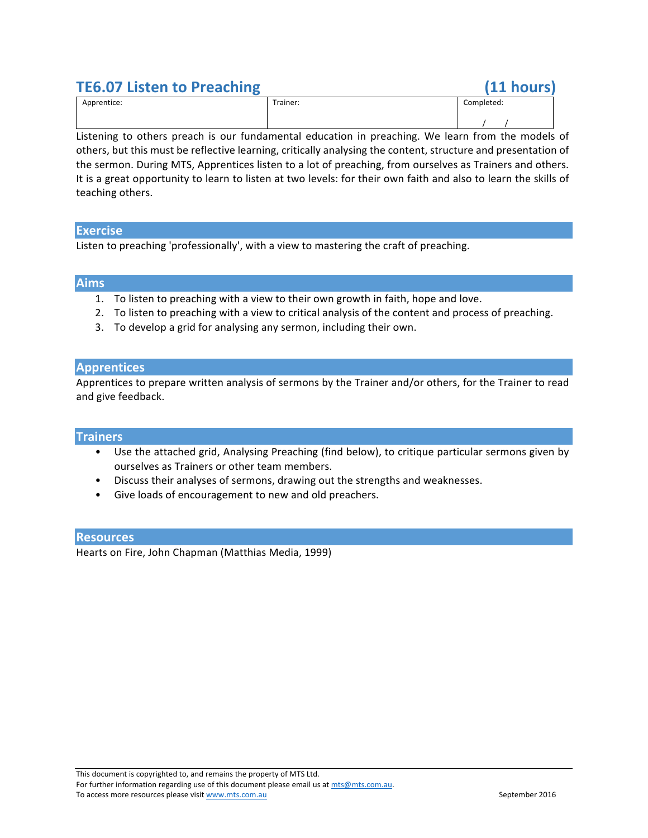# **TE6.07 Listen to Preaching (11 hours)**

| Apprentice: | $\overline{\phantom{0}}$<br>Trainer:<br>------- | Completed: |
|-------------|-------------------------------------------------|------------|
|             |                                                 |            |

Listening to others preach is our fundamental education in preaching. We learn from the models of others, but this must be reflective learning, critically analysing the content, structure and presentation of the sermon. During MTS, Apprentices listen to a lot of preaching, from ourselves as Trainers and others. It is a great opportunity to learn to listen at two levels: for their own faith and also to learn the skills of teaching others.

### **Exercise**

Listen to preaching 'professionally', with a view to mastering the craft of preaching.

### **Aims**

- 1. To listen to preaching with a view to their own growth in faith, hope and love.
- 2. To listen to preaching with a view to critical analysis of the content and process of preaching.
- 3. To develop a grid for analysing any sermon, including their own.

## **Apprentices**

Apprentices to prepare written analysis of sermons by the Trainer and/or others, for the Trainer to read and give feedback.

#### **Trainers**

- Use the attached grid, Analysing Preaching (find below), to critique particular sermons given by ourselves as Trainers or other team members.
- Discuss their analyses of sermons, drawing out the strengths and weaknesses.
- Give loads of encouragement to new and old preachers.

#### **Resources**

Hearts on Fire, John Chapman (Matthias Media, 1999)